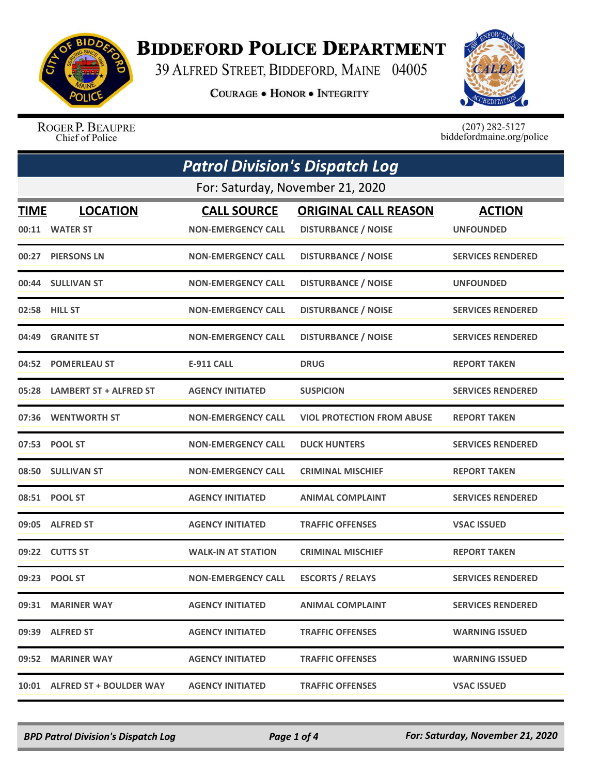

## **BIDDEFORD POLICE DEPARTMENT**

39 ALFRED STREET, BIDDEFORD, MAINE 04005

**COURAGE . HONOR . INTEGRITY** 



ROGER P. BEAUPRE Chief of Police

 $(207)$  282-5127<br>biddefordmaine.org/police

|                                  | <b>Patrol Division's Dispatch Log</b> |                           |                                   |                          |
|----------------------------------|---------------------------------------|---------------------------|-----------------------------------|--------------------------|
| For: Saturday, November 21, 2020 |                                       |                           |                                   |                          |
| TIME                             | <b>LOCATION</b>                       | <b>CALL SOURCE</b>        | <b>ORIGINAL CALL REASON</b>       | <b>ACTION</b>            |
|                                  | 00:11 WATER ST                        | <b>NON-EMERGENCY CALL</b> | <b>DISTURBANCE / NOISE</b>        | <b>UNFOUNDED</b>         |
|                                  | 00:27 PIERSONS LN                     | <b>NON-EMERGENCY CALL</b> | <b>DISTURBANCE / NOISE</b>        | <b>SERVICES RENDERED</b> |
|                                  | 00:44 SULLIVAN ST                     | <b>NON-EMERGENCY CALL</b> | <b>DISTURBANCE / NOISE</b>        | <b>UNFOUNDED</b>         |
|                                  | 02:58 HILL ST                         | <b>NON-EMERGENCY CALL</b> | <b>DISTURBANCE / NOISE</b>        | <b>SERVICES RENDERED</b> |
| 04:49                            | <b>GRANITE ST</b>                     | <b>NON-EMERGENCY CALL</b> | <b>DISTURBANCE / NOISE</b>        | <b>SERVICES RENDERED</b> |
|                                  | 04:52 POMERLEAU ST                    | <b>E-911 CALL</b>         | <b>DRUG</b>                       | <b>REPORT TAKEN</b>      |
|                                  | 05:28 LAMBERT ST + ALFRED ST          | <b>AGENCY INITIATED</b>   | <b>SUSPICION</b>                  | <b>SERVICES RENDERED</b> |
|                                  | 07:36 WENTWORTH ST                    | <b>NON-EMERGENCY CALL</b> | <b>VIOL PROTECTION FROM ABUSE</b> | <b>REPORT TAKEN</b>      |
|                                  | 07:53 POOL ST                         | <b>NON-EMERGENCY CALL</b> | <b>DUCK HUNTERS</b>               | <b>SERVICES RENDERED</b> |
|                                  | 08:50 SULLIVAN ST                     | <b>NON-EMERGENCY CALL</b> | <b>CRIMINAL MISCHIEF</b>          | <b>REPORT TAKEN</b>      |
|                                  | 08:51 POOL ST                         | <b>AGENCY INITIATED</b>   | <b>ANIMAL COMPLAINT</b>           | <b>SERVICES RENDERED</b> |
| 09:05                            | <b>ALFRED ST</b>                      | <b>AGENCY INITIATED</b>   | <b>TRAFFIC OFFENSES</b>           | <b>VSAC ISSUED</b>       |
|                                  | 09:22 CUTTS ST                        | <b>WALK-IN AT STATION</b> | <b>CRIMINAL MISCHIEF</b>          | <b>REPORT TAKEN</b>      |
|                                  | 09:23 POOL ST                         | <b>NON-EMERGENCY CALL</b> | <b>ESCORTS / RELAYS</b>           | <b>SERVICES RENDERED</b> |
|                                  | 09:31 MARINER WAY                     | <b>AGENCY INITIATED</b>   | <b>ANIMAL COMPLAINT</b>           | <b>SERVICES RENDERED</b> |
|                                  | 09:39 ALFRED ST                       | <b>AGENCY INITIATED</b>   | <b>TRAFFIC OFFENSES</b>           | <b>WARNING ISSUED</b>    |
|                                  | 09:52 MARINER WAY                     | <b>AGENCY INITIATED</b>   | <b>TRAFFIC OFFENSES</b>           | <b>WARNING ISSUED</b>    |
|                                  | 10:01 ALFRED ST + BOULDER WAY         | <b>AGENCY INITIATED</b>   | <b>TRAFFIC OFFENSES</b>           | <b>VSAC ISSUED</b>       |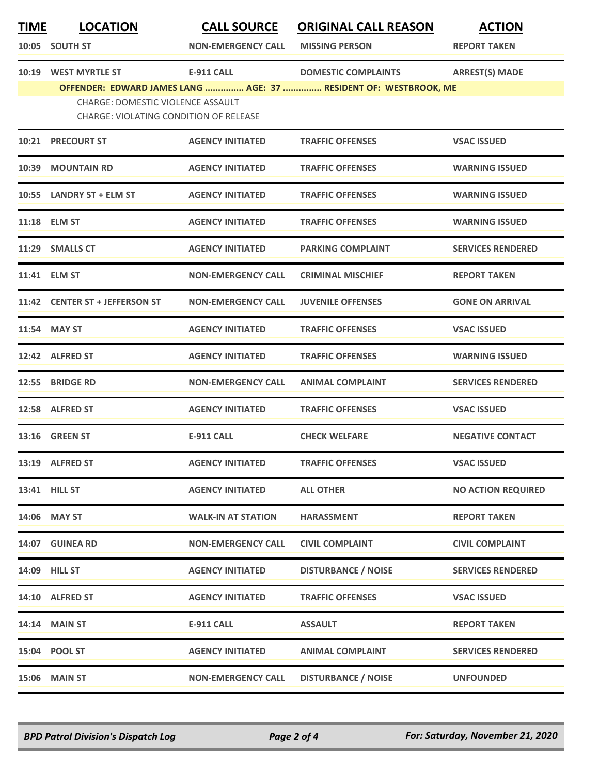| <b>TIME</b> | <b>LOCATION</b><br>10:05 SOUTH ST                                                  | <b>CALL SOURCE</b><br><b>NON-EMERGENCY CALL</b> | <b>ORIGINAL CALL REASON</b><br><b>MISSING PERSON</b>                                           | <b>ACTION</b><br><b>REPORT TAKEN</b> |
|-------------|------------------------------------------------------------------------------------|-------------------------------------------------|------------------------------------------------------------------------------------------------|--------------------------------------|
|             | 10:19 WEST MYRTLE ST                                                               | <b>E-911 CALL</b>                               | <b>DOMESTIC COMPLAINTS</b><br>OFFENDER: EDWARD JAMES LANG  AGE: 37  RESIDENT OF: WESTBROOK, ME | <b>ARREST(S) MADE</b>                |
|             | CHARGE: DOMESTIC VIOLENCE ASSAULT<br><b>CHARGE: VIOLATING CONDITION OF RELEASE</b> |                                                 |                                                                                                |                                      |
|             | <b>10:21 PRECOURT ST</b>                                                           | <b>AGENCY INITIATED</b>                         | <b>TRAFFIC OFFENSES</b>                                                                        | <b>VSAC ISSUED</b>                   |
|             | 10:39 MOUNTAIN RD                                                                  | <b>AGENCY INITIATED</b>                         | <b>TRAFFIC OFFENSES</b>                                                                        | <b>WARNING ISSUED</b>                |
|             | 10:55 LANDRY ST + ELM ST                                                           | <b>AGENCY INITIATED</b>                         | <b>TRAFFIC OFFENSES</b>                                                                        | <b>WARNING ISSUED</b>                |
|             | 11:18 ELM ST                                                                       | <b>AGENCY INITIATED</b>                         | <b>TRAFFIC OFFENSES</b>                                                                        | <b>WARNING ISSUED</b>                |
|             | 11:29 SMALLS CT                                                                    | <b>AGENCY INITIATED</b>                         | <b>PARKING COMPLAINT</b>                                                                       | <b>SERVICES RENDERED</b>             |
|             | 11:41 ELM ST                                                                       | <b>NON-EMERGENCY CALL</b>                       | <b>CRIMINAL MISCHIEF</b>                                                                       | <b>REPORT TAKEN</b>                  |
|             | 11:42 CENTER ST + JEFFERSON ST                                                     | <b>NON-EMERGENCY CALL</b>                       | <b>JUVENILE OFFENSES</b>                                                                       | <b>GONE ON ARRIVAL</b>               |
|             | 11:54 MAY ST                                                                       | <b>AGENCY INITIATED</b>                         | <b>TRAFFIC OFFENSES</b>                                                                        | <b>VSAC ISSUED</b>                   |
|             | 12:42 ALFRED ST                                                                    | <b>AGENCY INITIATED</b>                         | <b>TRAFFIC OFFENSES</b>                                                                        | <b>WARNING ISSUED</b>                |
| 12:55       | <b>BRIDGE RD</b>                                                                   | <b>NON-EMERGENCY CALL</b>                       | <b>ANIMAL COMPLAINT</b>                                                                        | <b>SERVICES RENDERED</b>             |
|             | 12:58 ALFRED ST                                                                    | <b>AGENCY INITIATED</b>                         | <b>TRAFFIC OFFENSES</b>                                                                        | <b>VSAC ISSUED</b>                   |
|             | 13:16 GREEN ST                                                                     | <b>E-911 CALL</b>                               | <b>CHECK WELFARE</b>                                                                           | <b>NEGATIVE CONTACT</b>              |
|             | 13:19 ALFRED ST                                                                    | <b>AGENCY INITIATED</b>                         | <b>TRAFFIC OFFENSES</b>                                                                        | <b>VSAC ISSUED</b>                   |
|             | 13:41 HILL ST                                                                      | <b>AGENCY INITIATED</b>                         | <b>ALL OTHER</b>                                                                               | <b>NO ACTION REQUIRED</b>            |
|             | 14:06 MAY ST                                                                       | <b>WALK-IN AT STATION</b>                       | <b>HARASSMENT</b>                                                                              | <b>REPORT TAKEN</b>                  |
|             | 14:07 GUINEA RD                                                                    | <b>NON-EMERGENCY CALL</b>                       | <b>CIVIL COMPLAINT</b>                                                                         | <b>CIVIL COMPLAINT</b>               |
|             | 14:09 HILL ST                                                                      | <b>AGENCY INITIATED</b>                         | <b>DISTURBANCE / NOISE</b>                                                                     | <b>SERVICES RENDERED</b>             |
|             | 14:10 ALFRED ST                                                                    | <b>AGENCY INITIATED</b>                         | <b>TRAFFIC OFFENSES</b>                                                                        | <b>VSAC ISSUED</b>                   |
|             | 14:14 MAIN ST                                                                      | <b>E-911 CALL</b>                               | <b>ASSAULT</b>                                                                                 | <b>REPORT TAKEN</b>                  |
|             | 15:04 POOL ST                                                                      | <b>AGENCY INITIATED</b>                         | <b>ANIMAL COMPLAINT</b>                                                                        | <b>SERVICES RENDERED</b>             |
|             | <b>15:06 MAIN ST</b>                                                               | <b>NON-EMERGENCY CALL</b>                       | <b>DISTURBANCE / NOISE</b>                                                                     | <b>UNFOUNDED</b>                     |

*BPD Patrol Division's Dispatch Log Page 2 of 4 For: Saturday, November 21, 2020*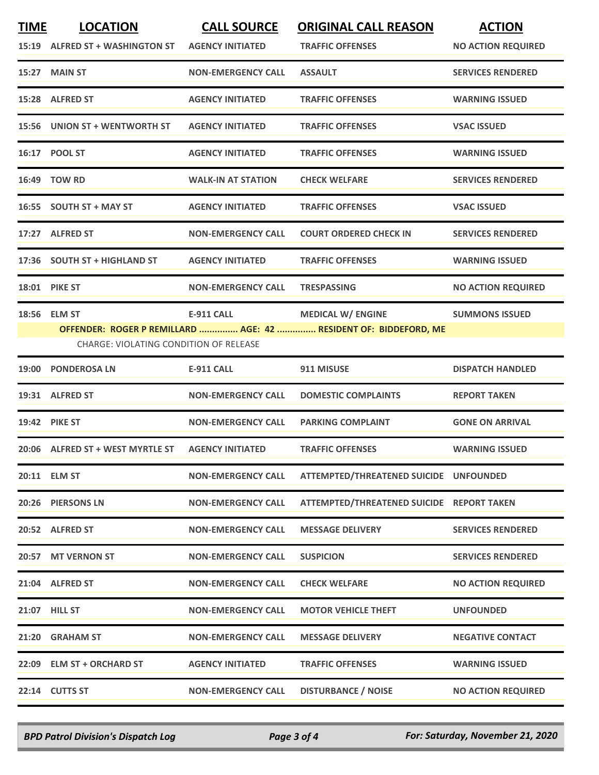| <b>TIME</b> | <b>LOCATION</b><br>15:19 ALFRED ST + WASHINGTON ST | <b>CALL SOURCE</b><br><b>AGENCY INITIATED</b> | <b>ORIGINAL CALL REASON</b><br><b>TRAFFIC OFFENSES</b>                                       | <b>ACTION</b><br><b>NO ACTION REQUIRED</b> |
|-------------|----------------------------------------------------|-----------------------------------------------|----------------------------------------------------------------------------------------------|--------------------------------------------|
|             | 15:27 MAIN ST                                      | <b>NON-EMERGENCY CALL</b>                     | <b>ASSAULT</b>                                                                               | <b>SERVICES RENDERED</b>                   |
|             | 15:28 ALFRED ST                                    | <b>AGENCY INITIATED</b>                       | <b>TRAFFIC OFFENSES</b>                                                                      | <b>WARNING ISSUED</b>                      |
|             | 15:56 UNION ST + WENTWORTH ST                      | <b>AGENCY INITIATED</b>                       | <b>TRAFFIC OFFENSES</b>                                                                      | <b>VSAC ISSUED</b>                         |
|             | 16:17 POOL ST                                      | <b>AGENCY INITIATED</b>                       | <b>TRAFFIC OFFENSES</b>                                                                      | <b>WARNING ISSUED</b>                      |
|             | 16:49 TOW RD                                       | <b>WALK-IN AT STATION</b>                     | <b>CHECK WELFARE</b>                                                                         | <b>SERVICES RENDERED</b>                   |
|             | 16:55 SOUTH ST + MAY ST                            | <b>AGENCY INITIATED</b>                       | <b>TRAFFIC OFFENSES</b>                                                                      | <b>VSAC ISSUED</b>                         |
|             | 17:27 ALFRED ST                                    | <b>NON-EMERGENCY CALL</b>                     | <b>COURT ORDERED CHECK IN</b>                                                                | <b>SERVICES RENDERED</b>                   |
|             | 17:36 SOUTH ST + HIGHLAND ST                       | <b>AGENCY INITIATED</b>                       | <b>TRAFFIC OFFENSES</b>                                                                      | <b>WARNING ISSUED</b>                      |
|             | <b>18:01 PIKE ST</b>                               | <b>NON-EMERGENCY CALL</b>                     | <b>TRESPASSING</b>                                                                           | <b>NO ACTION REQUIRED</b>                  |
|             | 18:56 ELM ST                                       | <b>E-911 CALL</b>                             | <b>MEDICAL W/ ENGINE</b><br>OFFENDER: ROGER P REMILLARD  AGE: 42  RESIDENT OF: BIDDEFORD, ME | <b>SUMMONS ISSUED</b>                      |
|             | <b>CHARGE: VIOLATING CONDITION OF RELEASE</b>      |                                               |                                                                                              |                                            |
|             | 19:00 PONDEROSA LN                                 | <b>E-911 CALL</b>                             | 911 MISUSE                                                                                   | <b>DISPATCH HANDLED</b>                    |
|             | 19:31 ALFRED ST                                    | <b>NON-EMERGENCY CALL</b>                     | <b>DOMESTIC COMPLAINTS</b>                                                                   | <b>REPORT TAKEN</b>                        |
|             | <b>19:42 PIKE ST</b>                               | <b>NON-EMERGENCY CALL</b>                     | <b>PARKING COMPLAINT</b>                                                                     | <b>GONE ON ARRIVAL</b>                     |
|             | 20:06 ALFRED ST + WEST MYRTLE ST                   | <b>AGENCY INITIATED</b>                       | <b>TRAFFIC OFFENSES</b>                                                                      | <b>WARNING ISSUED</b>                      |
|             | 20:11 ELM ST                                       | <b>NON-EMERGENCY CALL</b>                     | ATTEMPTED/THREATENED SUICIDE UNFOUNDED                                                       |                                            |
|             | 20:26 PIERSONS LN                                  | <b>NON-EMERGENCY CALL</b>                     | ATTEMPTED/THREATENED SUICIDE REPORT TAKEN                                                    |                                            |
|             | 20:52 ALFRED ST                                    | <b>NON-EMERGENCY CALL</b>                     | <b>MESSAGE DELIVERY</b>                                                                      | <b>SERVICES RENDERED</b>                   |
|             | 20:57 MT VERNON ST                                 | <b>NON-EMERGENCY CALL</b>                     | <b>SUSPICION</b>                                                                             | <b>SERVICES RENDERED</b>                   |
|             | 21:04 ALFRED ST                                    | <b>NON-EMERGENCY CALL</b>                     | <b>CHECK WELFARE</b>                                                                         | <b>NO ACTION REQUIRED</b>                  |
|             | <b>21:07 HILL ST</b>                               | <b>NON-EMERGENCY CALL</b>                     | <b>MOTOR VEHICLE THEFT</b>                                                                   | <b>UNFOUNDED</b>                           |
|             | 21:20 GRAHAM ST                                    | <b>NON-EMERGENCY CALL</b>                     | <b>MESSAGE DELIVERY</b>                                                                      | <b>NEGATIVE CONTACT</b>                    |
|             | 22:09 ELM ST + ORCHARD ST                          | <b>AGENCY INITIATED</b>                       | <b>TRAFFIC OFFENSES</b>                                                                      | <b>WARNING ISSUED</b>                      |
|             | 22:14 CUTTS ST                                     | <b>NON-EMERGENCY CALL</b>                     | <b>DISTURBANCE / NOISE</b>                                                                   | <b>NO ACTION REQUIRED</b>                  |

*BPD Patrol Division's Dispatch Log Page 3 of 4 For: Saturday, November 21, 2020*